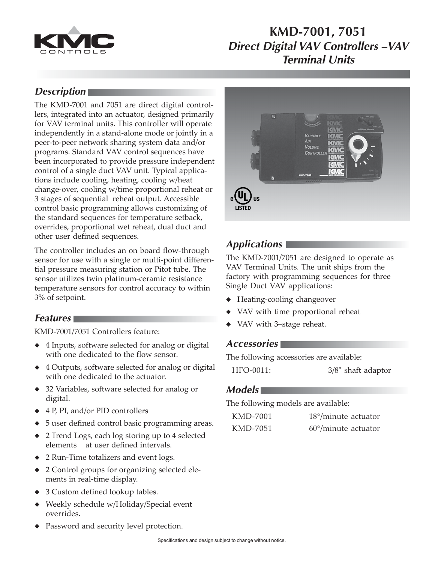

# **KMD-7001, 7051 Direct Digital VAV Controllers –VAV Terminal Units**

### **Description**

The KMD-7001 and 7051 are direct digital controllers, integrated into an actuator, designed primarily for VAV terminal units. This controller will operate independently in a stand-alone mode or jointly in a peer-to-peer network sharing system data and/or programs. Standard VAV control sequences have been incorporated to provide pressure independent control of a single duct VAV unit. Typical applications include cooling, heating, cooling w/heat change-over, cooling w/time proportional reheat or 3 stages of sequential reheat output. Accessible control basic programming allows customizing of the standard sequences for temperature setback, overrides, proportional wet reheat, dual duct and other user defined sequences.

The controller includes an on board flow-through sensor for use with a single or multi-point differential pressure measuring station or Pitot tube. The sensor utilizes twin platinum-ceramic resistance temperature sensors for control accuracy to within 3% of setpoint.

### **Features**

KMD-7001/7051 Controllers feature:

- ◆ 4 Inputs, software selected for analog or digital with one dedicated to the flow sensor.
- ◆ 4 Outputs, software selected for analog or digital with one dedicated to the actuator.
- ◆ 32 Variables, software selected for analog or digital.
- ◆ 4 P, PI, and/or PID controllers
- ◆ 5 user defined control basic programming areas.
- 2 Trend Logs, each log storing up to 4 selected elements at user defined intervals.
- ◆ 2 Run-Time totalizers and event logs.
- ◆ 2 Control groups for organizing selected elements in real-time display.
- ◆ 3 Custom defined lookup tables.
- ◆ Weekly schedule w/Holiday/Special event overrides.
- ◆ Password and security level protection.



## **Applications**

The KMD-7001/7051 are designed to operate as VAV Terminal Units. The unit ships from the factory with programming sequences for three Single Duct VAV applications:

- ◆ Heating-cooling changeover
- ◆ VAV with time proportional reheat
- VAV with 3–stage reheat.

#### **Accessories**

The following accessories are available:

HFO-0011: 3/8" shaft adaptor

#### **Models**

The following models are available:

| KMD-7001 | $18^{\circ}/$ minute actuator |
|----------|-------------------------------|
| KMD-7051 | $60^{\circ}/$ minute actuator |